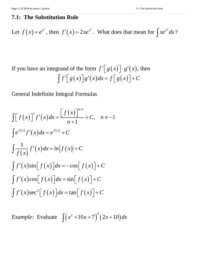## **7.1: The Substitution Rule**

Let 
$$
f(x) = e^{x^2}
$$
, then  $f'(x) = 2xe^{x^2}$ . What does that mean for  $\int xe^{x^2} dx$ ?

If you have an integrand of the form  $f'[g(x)] \cdot g'(x)$ , then  $\int f' \Big[ g(x) \Big] g'(x) dx = f \Big[ g(x) \Big] + C$ 

General Indefinite Integral Formulas

$$
\int [f(x)]^n f'(x) dx = \frac{[f(x)]^{n+1}}{n+1} + C, \quad n \neq -1
$$
  

$$
\int e^{f(x)} f'(x) dx = e^{f(x)} + C
$$
  

$$
\int \frac{1}{f(x)} f'(x) dx = \ln |f(x)| + C
$$
  

$$
\int f'(x) \sin [f(x)] dx = -\cos [f(x)] + C
$$
  

$$
\int f'(x) \cos [f(x)] dx = \sin [f(x)] + C
$$
  

$$
\int f'(x) \sec^2 [f(x)] dx = \tan [f(x)] + C
$$

*Example:* Evaluate  $\int (x^2 + 10x + 7)^4 (2x + 10) dx$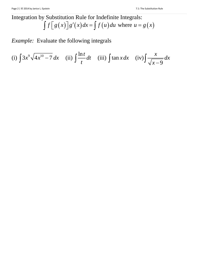## Integration by Substitution Rule for Indefinite Integrals:  $\int f[g(x)]g'(x)dx = \int f(u)du$  where  $u = g(x)$

*Example:* Evaluate the following integrals

(i) 
$$
\int 3x^9 \sqrt{4x^{10} - 7} dx
$$
 (ii)  $\int \frac{\ln t}{t} dt$  (iii)  $\int \tan x dx$  (iv)  $\int \frac{x}{\sqrt{x-9}} dx$